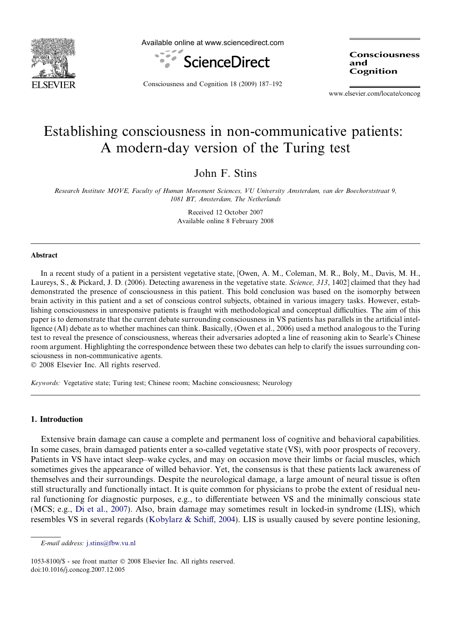

Available online at www.sciencedirect.com



Consciousness and Cognition

Consciousness and Cognition 18 (2009) 187–192

www.elsevier.com/locate/concog

# Establishing consciousness in non-communicative patients: A modern-day version of the Turing test

John F. Stins

Research Institute MOVE, Faculty of Human Movement Sciences, VU University Amsterdam, van der Boechorststraat 9, 1081 BT, Amsterdam, The Netherlands

> Received 12 October 2007 Available online 8 February 2008

#### Abstract

In a recent study of a patient in a persistent vegetative state, [Owen, A. M., Coleman, M. R., Boly, M., Davis, M. H., Laureys, S., & Pickard, J. D. (2006). Detecting awareness in the vegetative state. Science, 313, 1402] claimed that they had demonstrated the presence of consciousness in this patient. This bold conclusion was based on the isomorphy between brain activity in this patient and a set of conscious control subjects, obtained in various imagery tasks. However, establishing consciousness in unresponsive patients is fraught with methodological and conceptual difficulties. The aim of this paper is to demonstrate that the current debate surrounding consciousness in VS patients has parallels in the artificial intelligence (AI) debate as to whether machines can think. Basically, (Owen et al., 2006) used a method analogous to the Turing test to reveal the presence of consciousness, whereas their adversaries adopted a line of reasoning akin to Searle's Chinese room argument. Highlighting the correspondence between these two debates can help to clarify the issues surrounding consciousness in non-communicative agents.

© 2008 Elsevier Inc. All rights reserved.

Keywords: Vegetative state; Turing test; Chinese room; Machine consciousness; Neurology

#### 1. Introduction

Extensive brain damage can cause a complete and permanent loss of cognitive and behavioral capabilities. In some cases, brain damaged patients enter a so-called vegetative state (VS), with poor prospects of recovery. Patients in VS have intact sleep–wake cycles, and may on occasion move their limbs or facial muscles, which sometimes gives the appearance of willed behavior. Yet, the consensus is that these patients lack awareness of themselves and their surroundings. Despite the neurological damage, a large amount of neural tissue is often still structurally and functionally intact. It is quite common for physicians to probe the extent of residual neural functioning for diagnostic purposes, e.g., to differentiate between VS and the minimally conscious state (MCS; e.g., [Di et al., 2007\)](#page-4-0). Also, brain damage may sometimes result in locked-in syndrome (LIS), which resembles VS in several regards [\(Kobylarz & Schiff, 2004\)](#page-4-0). LIS is usually caused by severe pontine lesioning,

1053-8100/\$ - see front matter © 2008 Elsevier Inc. All rights reserved. doi:10.1016/j.concog.2007.12.005

E-mail address: [j.stins@fbw.vu.nl](mailto:j.stins@fbw.vu.nl)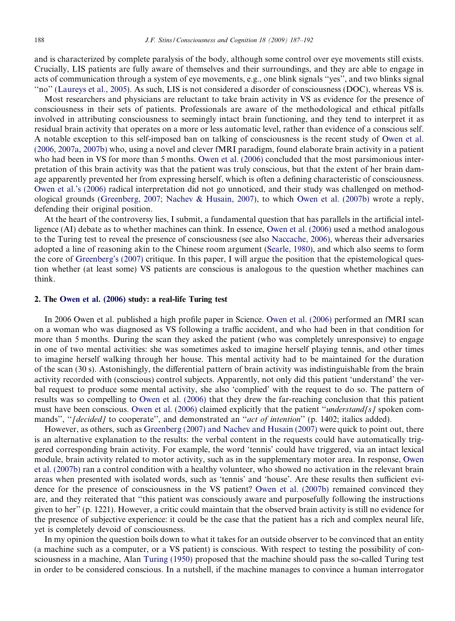and is characterized by complete paralysis of the body, although some control over eye movements still exists. Crucially, LIS patients are fully aware of themselves and their surroundings, and they are able to engage in acts of communication through a system of eye movements, e.g., one blink signals ''yes'', and two blinks signal "no" [\(Laureys et al., 2005\)](#page-5-0). As such, LIS is not considered a disorder of consciousness (DOC), whereas VS is.

Most researchers and physicians are reluctant to take brain activity in VS as evidence for the presence of consciousness in their sets of patients. Professionals are aware of the methodological and ethical pitfalls involved in attributing consciousness to seemingly intact brain functioning, and they tend to interpret it as residual brain activity that operates on a more or less automatic level, rather than evidence of a conscious self. A notable exception to this self-imposed ban on talking of consciousness is the recent study of [Owen et al.](#page-5-0) [\(2006, 2007a, 2007b\)](#page-5-0) who, using a novel and clever fMRI paradigm, found elaborate brain activity in a patient who had been in VS for more than 5 months. [Owen et al. \(2006\)](#page-5-0) concluded that the most parsimonious interpretation of this brain activity was that the patient was truly conscious, but that the extent of her brain damage apparently prevented her from expressing herself, which is often a defining characteristic of consciousness. [Owen et al.'s \(2006\)](#page-5-0) radical interpretation did not go unnoticed, and their study was challenged on methodological grounds ([Greenberg, 2007; Nachev & Husain, 2007\)](#page-4-0), to which [Owen et al. \(2007b\)](#page-5-0) wrote a reply, defending their original position.

At the heart of the controversy lies, I submit, a fundamental question that has parallels in the artificial intelligence (AI) debate as to whether machines can think. In essence, [Owen et al. \(2006\)](#page-5-0) used a method analogous to the Turing test to reveal the presence of consciousness (see also [Naccache, 2006\)](#page-5-0), whereas their adversaries adopted a line of reasoning akin to the Chinese room argument ([Searle, 1980](#page-5-0)), and which also seems to form the core of [Greenberg's \(2007\)](#page-4-0) critique. In this paper, I will argue the position that the epistemological question whether (at least some) VS patients are conscious is analogous to the question whether machines can think.

## 2. The [Owen et al. \(2006\)](#page-5-0) study: a real-life Turing test

In 2006 Owen et al. published a high profile paper in Science. [Owen et al. \(2006\)](#page-5-0) performed an fMRI scan on a woman who was diagnosed as VS following a traffic accident, and who had been in that condition for more than 5 months. During the scan they asked the patient (who was completely unresponsive) to engage in one of two mental activities: she was sometimes asked to imagine herself playing tennis, and other times to imagine herself walking through her house. This mental activity had to be maintained for the duration of the scan (30 s). Astonishingly, the differential pattern of brain activity was indistinguishable from the brain activity recorded with (conscious) control subjects. Apparently, not only did this patient 'understand' the verbal request to produce some mental activity, she also 'complied' with the request to do so. The pattern of results was so compelling to [Owen et al. \(2006\)](#page-5-0) that they drew the far-reaching conclusion that this patient must have been conscious. [Owen et al. \(2006\)](#page-5-0) claimed explicitly that the patient "*understand*[s] spoken commands", "[decided] to cooperate", and demonstrated an "act of intention" (p. 1402; italics added).

However, as others, such as [Greenberg \(2007\) and Nachev and Husain \(2007\)](#page-4-0) were quick to point out, there is an alternative explanation to the results: the verbal content in the requests could have automatically triggered corresponding brain activity. For example, the word 'tennis' could have triggered, via an intact lexical module, brain activity related to motor activity, such as in the supplementary motor area. In response, [Owen](#page-5-0) [et al. \(2007b\)](#page-5-0) ran a control condition with a healthy volunteer, who showed no activation in the relevant brain areas when presented with isolated words, such as 'tennis' and 'house'. Are these results then sufficient evidence for the presence of consciousness in the VS patient? [Owen et al. \(2007b\)](#page-5-0) remained convinced they are, and they reiterated that ''this patient was consciously aware and purposefully following the instructions given to her'' (p. 1221). However, a critic could maintain that the observed brain activity is still no evidence for the presence of subjective experience: it could be the case that the patient has a rich and complex neural life, yet is completely devoid of consciousness.

In my opinion the question boils down to what it takes for an outside observer to be convinced that an entity (a machine such as a computer, or a VS patient) is conscious. With respect to testing the possibility of consciousness in a machine, Alan [Turing \(1950\)](#page-5-0) proposed that the machine should pass the so-called Turing test in order to be considered conscious. In a nutshell, if the machine manages to convince a human interrogator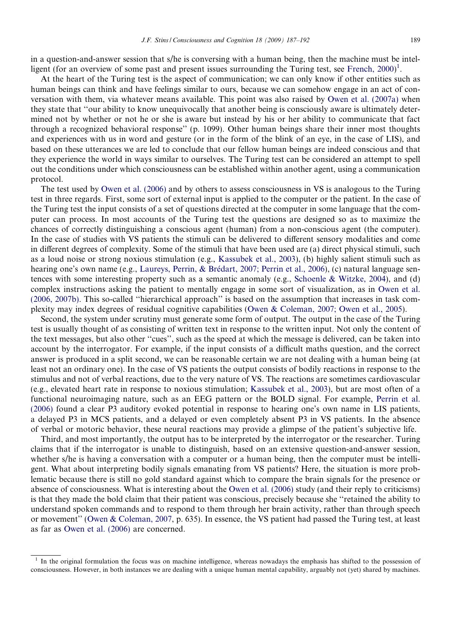in a question-and-answer session that s/he is conversing with a human being, then the machine must be intelligent (for an overview of some past and present issues surrounding the Turing test, see French,  $2000$ <sup>1</sup>.

At the heart of the Turing test is the aspect of communication; we can only know if other entities such as human beings can think and have feelings similar to ours, because we can somehow engage in an act of conversation with them, via whatever means available. This point was also raised by [Owen et al. \(2007a\)](#page-5-0) when they state that ''our ability to know unequivocally that another being is consciously aware is ultimately determined not by whether or not he or she is aware but instead by his or her ability to communicate that fact through a recognized behavioral response'' (p. 1099). Other human beings share their inner most thoughts and experiences with us in word and gesture (or in the form of the blink of an eye, in the case of LIS), and based on these utterances we are led to conclude that our fellow human beings are indeed conscious and that they experience the world in ways similar to ourselves. The Turing test can be considered an attempt to spell out the conditions under which consciousness can be established within another agent, using a communication protocol.

The test used by [Owen et al. \(2006\)](#page-5-0) and by others to assess consciousness in VS is analogous to the Turing test in three regards. First, some sort of external input is applied to the computer or the patient. In the case of the Turing test the input consists of a set of questions directed at the computer in some language that the computer can process. In most accounts of the Turing test the questions are designed so as to maximize the chances of correctly distinguishing a conscious agent (human) from a non-conscious agent (the computer). In the case of studies with VS patients the stimuli can be delivered to different sensory modalities and come in different degrees of complexity. Some of the stimuli that have been used are (a) direct physical stimuli, such as a loud noise or strong noxious stimulation (e.g., [Kassubek et al., 2003\)](#page-4-0), (b) highly salient stimuli such as hearing one's own name (e.g., Laureys, Perrin, & Brédart, 2007; Perrin et al., 2006), (c) natural language sentences with some interesting property such as a semantic anomaly (e.g., [Schoenle & Witzke, 2004\)](#page-5-0), and (d) complex instructions asking the patient to mentally engage in some sort of visualization, as in [Owen et al.](#page-5-0) [\(2006, 2007b\).](#page-5-0) This so-called ''hierarchical approach'' is based on the assumption that increases in task complexity may index degrees of residual cognitive capabilities [\(Owen & Coleman, 2007; Owen et al., 2005](#page-5-0)).

Second, the system under scrutiny must generate some form of output. The output in the case of the Turing test is usually thought of as consisting of written text in response to the written input. Not only the content of the text messages, but also other ''cues'', such as the speed at which the message is delivered, can be taken into account by the interrogator. For example, if the input consists of a difficult maths question, and the correct answer is produced in a split second, we can be reasonable certain we are not dealing with a human being (at least not an ordinary one). In the case of VS patients the output consists of bodily reactions in response to the stimulus and not of verbal reactions, due to the very nature of VS. The reactions are sometimes cardiovascular (e.g., elevated heart rate in response to noxious stimulation; [Kassubek et al., 2003](#page-4-0)), but are most often of a functional neuroimaging nature, such as an EEG pattern or the BOLD signal. For example, [Perrin et al.](#page-5-0) [\(2006\)](#page-5-0) found a clear P3 auditory evoked potential in response to hearing one's own name in LIS patients, a delayed P3 in MCS patients, and a delayed or even completely absent P3 in VS patients. In the absence of verbal or motoric behavior, these neural reactions may provide a glimpse of the patient's subjective life.

Third, and most importantly, the output has to be interpreted by the interrogator or the researcher. Turing claims that if the interrogator is unable to distinguish, based on an extensive question-and-answer session, whether s/he is having a conversation with a computer or a human being, then the computer must be intelligent. What about interpreting bodily signals emanating from VS patients? Here, the situation is more problematic because there is still no gold standard against which to compare the brain signals for the presence or absence of consciousness. What is interesting about the [Owen et al. \(2006\)](#page-5-0) study (and their reply to criticisms) is that they made the bold claim that their patient was conscious, precisely because she ''retained the ability to understand spoken commands and to respond to them through her brain activity, rather than through speech or movement'' ([Owen & Coleman, 2007,](#page-5-0) p. 635). In essence, the VS patient had passed the Turing test, at least as far as [Owen et al. \(2006\)](#page-5-0) are concerned.

<sup>1</sup> In the original formulation the focus was on machine intelligence, whereas nowadays the emphasis has shifted to the possession of consciousness. However, in both instances we are dealing with a unique human mental capability, arguably not (yet) shared by machines.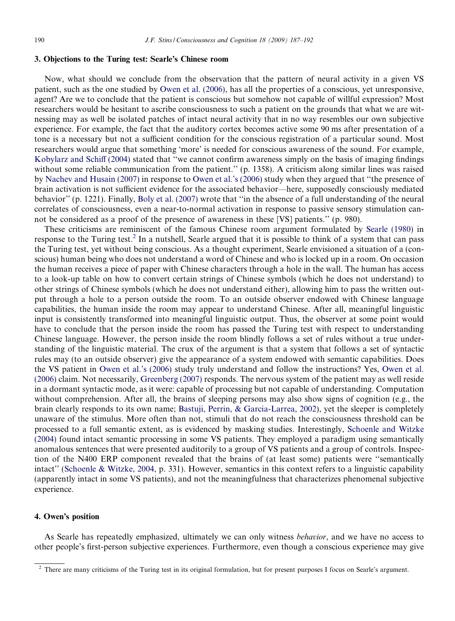## 3. Objections to the Turing test: Searle's Chinese room

Now, what should we conclude from the observation that the pattern of neural activity in a given VS patient, such as the one studied by [Owen et al. \(2006\),](#page-5-0) has all the properties of a conscious, yet unresponsive, agent? Are we to conclude that the patient is conscious but somehow not capable of willful expression? Most researchers would be hesitant to ascribe consciousness to such a patient on the grounds that what we are witnessing may as well be isolated patches of intact neural activity that in no way resembles our own subjective experience. For example, the fact that the auditory cortex becomes active some 90 ms after presentation of a tone is a necessary but not a sufficient condition for the conscious registration of a particular sound. Most researchers would argue that something 'more' is needed for conscious awareness of the sound. For example, [Kobylarz and Schiff \(2004\)](#page-4-0) stated that ''we cannot confirm awareness simply on the basis of imaging findings without some reliable communication from the patient." (p. 1358). A criticism along similar lines was raised by [Nachev and Husain \(2007\)](#page-5-0) in response to [Owen et al.'s \(2006\)](#page-5-0) study when they argued that ''the presence of brain activation is not sufficient evidence for the associated behavior—here, supposedly consciously mediated behavior'' (p. 1221). Finally, [Boly et al. \(2007\)](#page-4-0) wrote that ''in the absence of a full understanding of the neural correlates of consciousness, even a near-to-normal activation in response to passive sensory stimulation cannot be considered as a proof of the presence of awareness in these [VS] patients.'' (p. 980).

These criticisms are reminiscent of the famous Chinese room argument formulated by [Searle \(1980\)](#page-5-0) in response to the Turing test.<sup>2</sup> In a nutshell, Searle argued that it is possible to think of a system that can pass the Turing test, yet without being conscious. As a thought experiment, Searle envisioned a situation of a (conscious) human being who does not understand a word of Chinese and who is locked up in a room. On occasion the human receives a piece of paper with Chinese characters through a hole in the wall. The human has access to a look-up table on how to convert certain strings of Chinese symbols (which he does not understand) to other strings of Chinese symbols (which he does not understand either), allowing him to pass the written output through a hole to a person outside the room. To an outside observer endowed with Chinese language capabilities, the human inside the room may appear to understand Chinese. After all, meaningful linguistic input is consistently transformed into meaningful linguistic output. Thus, the observer at some point would have to conclude that the person inside the room has passed the Turing test with respect to understanding Chinese language. However, the person inside the room blindly follows a set of rules without a true understanding of the linguistic material. The crux of the argument is that a system that follows a set of syntactic rules may (to an outside observer) give the appearance of a system endowed with semantic capabilities. Does the VS patient in [Owen et al.'s \(2006\)](#page-5-0) study truly understand and follow the instructions? Yes, [Owen et al.](#page-5-0) [\(2006\)](#page-5-0) claim. Not necessarily, [Greenberg \(2007\)](#page-4-0) responds. The nervous system of the patient may as well reside in a dormant syntactic mode, as it were: capable of processing but not capable of understanding. Computation without comprehension. After all, the brains of sleeping persons may also show signs of cognition (e.g., the brain clearly responds to its own name; [Bastuji, Perrin, & Garcia-Larrea, 2002\)](#page-4-0), yet the sleeper is completely unaware of the stimulus. More often than not, stimuli that do not reach the consciousness threshold can be processed to a full semantic extent, as is evidenced by masking studies. Interestingly, [Schoenle and Witzke](#page-5-0) [\(2004\)](#page-5-0) found intact semantic processing in some VS patients. They employed a paradigm using semantically anomalous sentences that were presented auditorily to a group of VS patients and a group of controls. Inspection of the N400 ERP component revealed that the brains of (at least some) patients were ''semantically intact'' [\(Schoenle & Witzke, 2004,](#page-5-0) p. 331). However, semantics in this context refers to a linguistic capability (apparently intact in some VS patients), and not the meaningfulness that characterizes phenomenal subjective experience.

## 4. Owen's position

As Searle has repeatedly emphasized, ultimately we can only witness behavior, and we have no access to other people's first-person subjective experiences. Furthermore, even though a conscious experience may give

<sup>&</sup>lt;sup>2</sup> There are many criticisms of the Turing test in its original formulation, but for present purposes I focus on Searle's argument.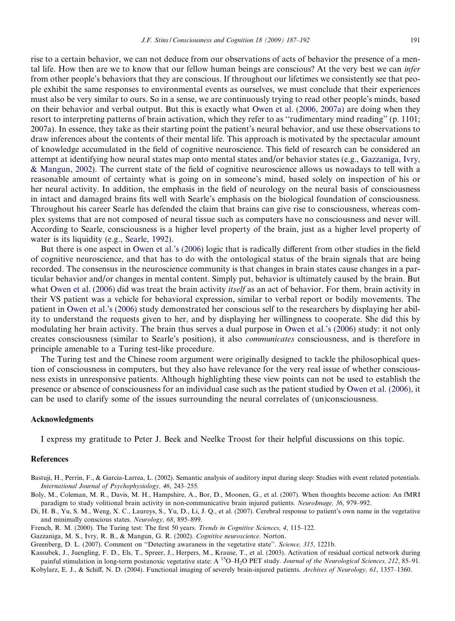<span id="page-4-0"></span>rise to a certain behavior, we can not deduce from our observations of acts of behavior the presence of a mental life. How then are we to know that our fellow human beings are conscious? At the very best we can *infer* from other people's behaviors that they are conscious. If throughout our lifetimes we consistently see that people exhibit the same responses to environmental events as ourselves, we must conclude that their experiences must also be very similar to ours. So in a sense, we are continuously trying to read other people's minds, based on their behavior and verbal output. But this is exactly what [Owen et al. \(2006, 2007a\)](#page-5-0) are doing when they resort to interpreting patterns of brain activation, which they refer to as ''rudimentary mind reading'' (p. 1101; 2007a). In essence, they take as their starting point the patient's neural behavior, and use these observations to draw inferences about the contents of their mental life. This approach is motivated by the spectacular amount of knowledge accumulated in the field of cognitive neuroscience. This field of research can be considered an attempt at identifying how neural states map onto mental states and/or behavior states (e.g., Gazzaniga, Ivry, & Mangun, 2002). The current state of the field of cognitive neuroscience allows us nowadays to tell with a reasonable amount of certainty what is going on in someone's mind, based solely on inspection of his or her neural activity. In addition, the emphasis in the field of neurology on the neural basis of consciousness in intact and damaged brains fits well with Searle's emphasis on the biological foundation of consciousness. Throughout his career Searle has defended the claim that brains can give rise to consciousness, whereas complex systems that are not composed of neural tissue such as computers have no consciousness and never will. According to Searle, consciousness is a higher level property of the brain, just as a higher level property of water is its liquidity (e.g., [Searle, 1992\)](#page-5-0).

But there is one aspect in [Owen et al.'s \(2006\)](#page-5-0) logic that is radically different from other studies in the field of cognitive neuroscience, and that has to do with the ontological status of the brain signals that are being recorded. The consensus in the neuroscience community is that changes in brain states cause changes in a particular behavior and/or changes in mental content. Simply put, behavior is ultimately caused by the brain. But what [Owen et al. \(2006\)](#page-5-0) did was treat the brain activity *itself* as an act of behavior. For them, brain activity in their VS patient was a vehicle for behavioral expression, similar to verbal report or bodily movements. The patient in [Owen et al.'s \(2006\)](#page-5-0) study demonstrated her conscious self to the researchers by displaying her ability to understand the requests given to her, and by displaying her willingness to cooperate. She did this by modulating her brain activity. The brain thus serves a dual purpose in [Owen et al.'s \(2006\)](#page-5-0) study: it not only creates consciousness (similar to Searle's position), it also communicates consciousness, and is therefore in principle amenable to a Turing test-like procedure.

The Turing test and the Chinese room argument were originally designed to tackle the philosophical question of consciousness in computers, but they also have relevance for the very real issue of whether consciousness exists in unresponsive patients. Although highlighting these view points can not be used to establish the presence or absence of consciousness for an individual case such as the patient studied by [Owen et al. \(2006\),](#page-5-0) it can be used to clarify some of the issues surrounding the neural correlates of (un)consciousness.

## Acknowledgments

I express my gratitude to Peter J. Beek and Neelke Troost for their helpful discussions on this topic.

#### References

Bastuji, H., Perrin, F., & Garcia-Larrea, L. (2002). Semantic analysis of auditory input during sleep: Studies with event related potentials. International Journal of Psychophysiology, 46, 243–255.

Boly, M., Coleman, M. R., Davis, M. H., Hampshire, A., Bor, D., Moonen, G., et al. (2007). When thoughts become action: An fMRI paradigm to study volitional brain activity in non-communicative brain injured patients. NeuroImage, 36, 979–992.

Di, H. B., Yu, S. M., Weng, X. C., Laureys, S., Yu, D., Li, J. Q., et al. (2007). Cerebral response to patient's own name in the vegetative and minimally conscious states. Neurology, 68, 895–899.

- French, R. M. (2000). The Turing test: The first 50 years. *Trends in Cognitive Sciences*, 4, 115–122.
- Gazzaniga, M. S., Ivry, R. B., & Mangun, G. R. (2002). Cognitive neuroscience. Norton.
- Greenberg, D. L. (2007). Comment on ''Detecting awaraness in the vegetative state''. Science, 315, 1221b.

Kassubek, J., Juengling, F. D., Els, T., Spreer, J., Herpers, M., Krause, T., et al. (2003). Activation of residual cortical network during painful stimulation in long-term postanoxic vegetative state: A <sup>15</sup>O–H<sub>2</sub>O PET study. Journal of the Neurological Sciences, 212, 85–91.

Kobylarz, E. J., & Schiff, N. D. (2004). Functional imaging of severely brain-injured patients. Archives of Neurology, 61, 1357–1360.